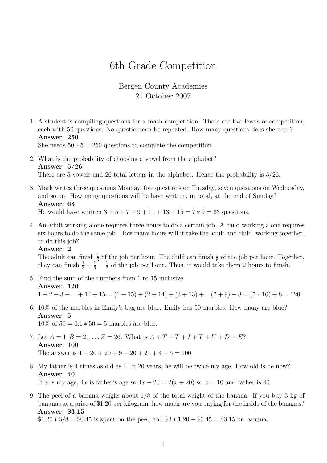# 6th Grade Competition

# Bergen County Academies 21 October 2007

1. A student is compiling questions for a math competition. There are five levels of competition, each with 50 questions. No question can be repeated. How many questions does she need? Answer: 250

She needs  $50 * 5 = 250$  questions to complete the competition.

- 2. What is the probability of choosing a vowel from the alphabet? Answer: 5/26 There are 5 vowels and 26 total letters in the alphabet. Hence the probability is 5/26.
- 3. Mark writes three questions Monday, five questions on Tuesday, seven questions on Wednesday, and so on. How many questions will he have written, in total, at the end of Sunday? Answer: 63

He would have written  $3 + 5 + 7 + 9 + 11 + 13 + 15 = 7 * 9 = 63$  questions.

4. An adult working alone requires three hours to do a certain job. A child working alone requires six hours to do the same job. How many hours will it take the adult and child, working together, to do this job?

### Answer: 2

The adult can finish  $\frac{1}{3}$  of the job per hour. The child can finish  $\frac{1}{6}$  of the job per hour. Together, they can finish  $\frac{1}{3} + \frac{1}{6} = \frac{1}{2}$  $\frac{1}{2}$  of the job per hour. Thus, it would take them 2 hours to finish.

- 5. Find the sum of the numbers from 1 to 15 inclusive. Answer: 120  $1 + 2 + 3 + \ldots + 14 + 15 = (1 + 15) + (2 + 14) + (3 + 13) + \ldots (7 + 9) + 8 = (7 * 16) + 8 = 120$
- 6. 10% of the marbles in Emily's bag are blue. Emily has 50 marbles. How many are blue? Answer: 5  $10\%$  of  $50 = 0.1 * 50 = 5$  marbles are blue.
- 7. Let  $A = 1, B = 2, ..., Z = 26$ . What is  $A + T + T + I + T + U + D + E$ ? Answer: 100 The answer is  $1 + 20 + 20 + 9 + 20 + 21 + 4 + 5 = 100$ .
- 8. My father is 4 times as old as I. In 20 years, he will be twice my age. How old is he now? Answer: 40

If x is my age,  $4x$  is father's age so  $4x + 20 = 2(x + 20)$  so  $x = 10$  and father is 40.

9. The peel of a banana weighs about 1/8 of the total weight of the banana. If you buy 3 kg of bananas at a price of \$1.20 per kilogram, how much are you paying for the inside of the bananas? Answer: \$3.15

 $$1.20 * 3/8 = $0.45$  is spent on the peel, and  $$3 * 1.20 - $0.45 = $3.15$  on banana.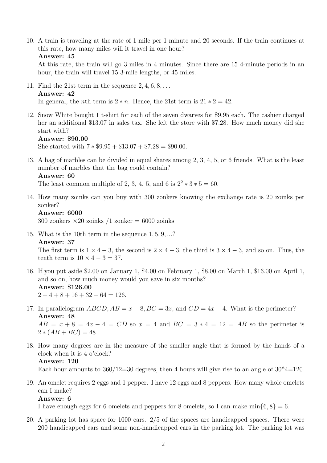10. A train is traveling at the rate of 1 mile per 1 minute and 20 seconds. If the train continues at this rate, how many miles will it travel in one hour?

```
Answer: 45
```
At this rate, the train will go 3 miles in 4 minutes. Since there are 15 4-minute periods in an hour, the train will travel 15 3-mile lengths, or 45 miles.

11. Find the 21st term in the sequence  $2, 4, 6, 8, \ldots$ 

# Answer: 42

In general, the *n*th term is  $2 * n$ . Hence, the 21st term is  $21 * 2 = 42$ .

12. Snow White bought 1 t-shirt for each of the seven dwarves for \$9.95 each. The cashier charged her an additional \$13.07 in sales tax. She left the store with \$7.28. How much money did she start with?

```
Answer: $90.00
```
She started with  $7 * $9.95 + $13.07 + $7.28 = $90.00$ .

13. A bag of marbles can be divided in equal shares among 2, 3, 4, 5, or 6 friends. What is the least number of marbles that the bag could contain?

Answer: 60

The least common multiple of 2, 3, 4, 5, and 6 is  $2^2 * 3 * 5 = 60$ .

14. How many zoinks can you buy with 300 zonkers knowing the exchange rate is 20 zoinks per zonker?

```
Answer: 6000
```
300 zonkers  $\times 20$  zoinks /1 zonker = 6000 zoinks

15. What is the 10th term in the sequence 1, 5, 9, ...? Answer: 37

The first term is  $1 \times 4 - 3$ , the second is  $2 \times 4 - 3$ , the third is  $3 \times 4 - 3$ , and so on. Thus, the tenth term is  $10 \times 4 - 3 = 37$ .

- 16. If you put aside \$2.00 on January 1, \$4.00 on February 1, \$8.00 on March 1, \$16.00 on April 1, and so on, how much money would you save in six months? Answer: \$126.00  $2+4+8+16+32+64=126.$
- 17. In parallelogram  $ABCD$ ,  $AB = x + 8$ ,  $BC = 3x$ , and  $CD = 4x 4$ . What is the perimeter? Answer: 48  $AB = x + 8 = 4x - 4 = CD$  so  $x = 4$  and  $BC = 3 * 4 = 12 = AB$  so the perimeter is  $2 * (AB + BC) = 48.$
- 18. How many degrees are in the measure of the smaller angle that is formed by the hands of a clock when it is 4 o'clock? Answer: 120

Each hour amounts to  $360/12=30$  degrees, then 4 hours will give rise to an angle of  $30*4=120$ .

19. An omelet requires 2 eggs and 1 pepper. I have 12 eggs and 8 peppers. How many whole omelets can I make? Answer: 6

I have enough eggs for 6 omelets and peppers for 8 omelets, so I can make  $\min\{6, 8\} = 6$ .

20. A parking lot has space for 1000 cars. 2/5 of the spaces are handicapped spaces. There were 200 handicapped cars and some non-handicapped cars in the parking lot. The parking lot was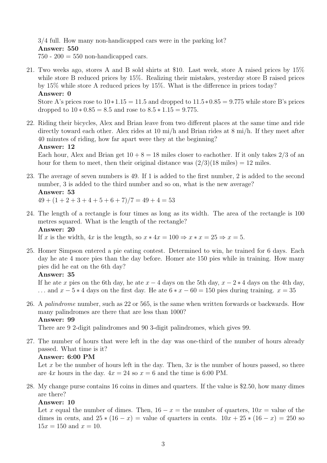3/4 full. How many non-handicapped cars were in the parking lot? Answer: 550  $750 - 200 = 550$  non-handicapped cars.

21. Two weeks ago, stores A and B sold shirts at \$10. Last week, store A raised prices by 15% while store B reduced prices by 15%. Realizing their mistakes, yesterday store B raised prices by 15% while store A reduced prices by 15%. What is the difference in prices today? Answer: 0

Store A's prices rose to  $10*1.15 = 11.5$  and dropped to  $11.5*0.85 = 9.775$  while store B's prices dropped to  $10 * 0.85 = 8.5$  and rose to  $8.5 * 1.15 = 9.775$ .

22. Riding their bicycles, Alex and Brian leave from two different places at the same time and ride directly toward each other. Alex rides at 10 mi/h and Brian rides at 8 mi/h. If they meet after 40 minutes of riding, how far apart were they at the beginning?

### Answer: 12

Each hour, Alex and Brian get  $10 + 8 = 18$  miles closer to eachother. If it only takes  $2/3$  of an hour for them to meet, then their original distance was  $(2/3)(18 \text{ miles}) = 12 \text{ miles}$ .

23. The average of seven numbers is 49. If 1 is added to the first number, 2 is added to the second number, 3 is added to the third number and so on, what is the new average? Answer: 53

 $49 + (1 + 2 + 3 + 4 + 5 + 6 + 7)/7 = 49 + 4 = 53$ 

24. The length of a rectangle is four times as long as its width. The area of the rectangle is 100 metres squared. What is the length of the rectangle? Answer: 20

If x is the width,  $4x$  is the length, so  $x * 4x = 100 \Rightarrow x * x = 25 \Rightarrow x = 5$ .

25. Homer Simpson entered a pie eating contest. Determined to win, he trained for 6 days. Each day he ate 4 more pies than the day before. Homer ate 150 pies while in training. How many pies did he eat on the 6th day?

# Answer: 35

If he ate x pies on the 6th day, he ate  $x - 4$  days on the 5th day,  $x - 2 \times 4$  days on the 4th day, ... and  $x - 5 * 4$  days on the first day. He ate  $6 * x - 60 = 150$  pies during training.  $x = 35$ 

26. A palindrome number, such as 22 or 565, is the same when written forwards or backwards. How many palindromes are there that are less than 1000? Answer: 99

There are 9 2-digit palindromes and 90 3-digit palindromes, which gives 99.

27. The number of hours that were left in the day was one-third of the number of hours already passed. What time is it?

# Answer: 6:00 PM

Let x be the number of hours left in the day. Then,  $3x$  is the number of hours passed, so there are  $4x$  hours in the day.  $4x = 24$  so  $x = 6$  and the time is 6:00 PM.

28. My change purse contains 16 coins in dimes and quarters. If the value is \$2.50, how many dimes are there?

# Answer: 10

Let x equal the number of dimes. Then,  $16 - x =$  the number of quarters,  $10x =$  value of the dimes in cents, and  $25*(16-x)$  = value of quarters in cents.  $10x + 25*(16-x) = 250$  so  $15x = 150$  and  $x = 10$ .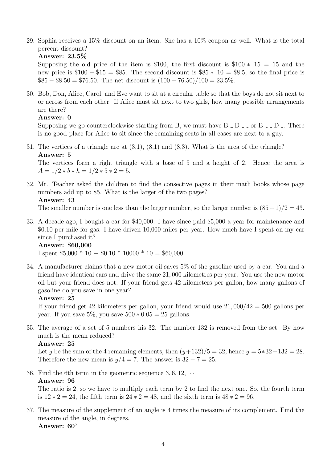29. Sophia receives a 15% discount on an item. She has a 10% coupon as well. What is the total percent discount?

```
Answer: 23.5%
```
Supposing the old price of the item is \$100, the first discount is  $$100 * .15 = 15$  and the new price is  $$100 - $15 = $85$ . The second discount is  $$85 * .10 = $8.5$ , so the final price is  $\$85 - \$8.50 = \$76.50$ . The net discount is  $(100 - 76.50)/100 = 23.5\%$ .

30. Bob, Don, Alice, Carol, and Eve want to sit at a circular table so that the boys do not sit next to or across from each other. If Alice must sit next to two girls, how many possible arrangements are there?

# Answer: 0

Supposing we go counterclockwise starting from B, we must have  $B - D =$  or  $B = D$ . There is no good place for Alice to sit since the remaining seats in all cases are next to a guy.

31. The vertices of a triangle are at (3,1), (8,1) and (8,3). What is the area of the triangle? Answer: 5

The vertices form a right triangle with a base of 5 and a height of 2. Hence the area is  $A = 1/2 * b * h = 1/2 * 5 * 2 = 5.$ 

32. Mr. Teacher asked the children to find the consective pages in their math books whose page numbers add up to 85. What is the larger of the two pages? Answer: 43

The smaller number is one less than the larger number, so the larger number is  $(85+1)/2 = 43$ .

33. A decade ago, I bought a car for \$40,000. I have since paid \$5,000 a year for maintenance and \$0.10 per mile for gas. I have driven 10,000 miles per year. How much have I spent on my car since I purchased it?

### Answer: \$60,000

I spent  $$5,000 * 10 + $0.10 * 10000 * 10 = $60,000$ 

34. A manufacturer claims that a new motor oil saves 5% of the gasoline used by a car. You and a friend have identical cars and drive the same 21, 000 kilometres per year. You use the new motor oil but your friend does not. If your friend gets 42 kilometers per gallon, how many gallons of gasoline do you save in one year?

# Answer: 25

If your friend get 42 kilometers per gallon, your friend would use  $21,000/42 = 500$  gallons per year. If you save  $5\%$ , you save  $500 * 0.05 = 25$  gallons.

35. The average of a set of 5 numbers his 32. The number 132 is removed from the set. By how much is the mean reduced?

# Answer: 25

Let y be the sum of the 4 remaining elements, then  $(y+132)/5 = 32$ , hence  $y = 5*32-132 = 28$ . Therefore the new mean is  $y/4 = 7$ . The answer is  $32 - 7 = 25$ .

36. Find the 6th term in the geometric sequence  $3, 6, 12, \cdots$ Answer: 96

The ratio is 2, so we have to multiply each term by 2 to find the next one. So, the fourth term is  $12 * 2 = 24$ , the fifth term is  $24 * 2 = 48$ , and the sixth term is  $48 * 2 = 96$ .

37. The measure of the supplement of an angle is 4 times the measure of its complement. Find the measure of the angle, in degrees. Answer: 60◦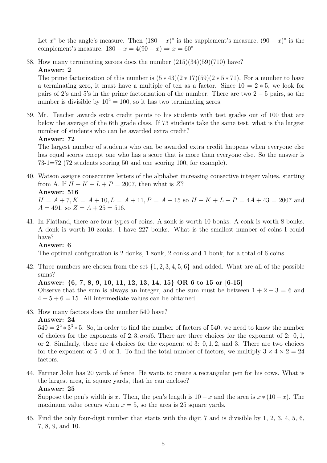Let  $x^{\circ}$  be the angle's measure. Then  $(180 - x)^{\circ}$  is the supplement's measure,  $(90 - x)^{\circ}$  is the complement's measure.  $180 - x = 4(90 - x) \Rightarrow x = 60^{\circ}$ 

38. How many terminating zeroes does the number (215)(34)(59)(710) have? Answer: 2

The prime factorization of this number is  $(5 * 43)(2 * 17)(59)(2 * 5 * 71)$ . For a number to have a terminating zero, it must have a multiple of ten as a factor. Since  $10 = 2 * 5$ , we look for pairs of 2's and 5's in the prime factorization of the number. There are two  $2-5$  pairs, so the number is divisible by  $10^2 = 100$ , so it has two terminating zeros.

39. Mr. Teacher awards extra credit points to his students with test grades out of 100 that are below the average of the 6th grade class. If 73 students take the same test, what is the largest number of students who can be awarded extra credit?

### Answer: 72

The largest number of students who can be awarded extra credit happens when everyone else has equal scores except one who has a score that is more than everyone else. So the answer is 73-1=72 (72 students scoring 50 and one scoring 100, for example).

40. Watson assigns consecutive letters of the alphabet increasing consective integer values, starting from A. If  $H + K + L + P = 2007$ , then what is Z? Answer: 516

 $H = A + 7, K = A + 10, L = A + 11, P = A + 15$  so  $H + K + L + P = 4A + 43 = 2007$  and  $A = 491$ , so  $Z = A + 25 = 516$ .

41. In Flatland, there are four types of coins. A zonk is worth 10 bonks. A conk is worth 8 bonks. A donk is worth 10 zonks. I have 227 bonks. What is the smallest number of coins I could have?

### Answer: 6

The optimal configuration is 2 donks, 1 zonk, 2 conks and 1 bonk, for a total of 6 coins.

42. Three numbers are chosen from the set  $\{1, 2, 3, 4, 5, 6\}$  and added. What are all of the possible sums?

# Answer: {6, 7, 8, 9, 10, 11, 12, 13, 14, 15} OR 6 to 15 or [6-15]

Observe that the sum is always an integer, and the sum must be between  $1 + 2 + 3 = 6$  and  $4 + 5 + 6 = 15$ . All intermediate values can be obtained.

43. How many factors does the number 540 have?

# Answer: 24

 $540 = 2^2 \times 3^3 \times 5$ . So, in order to find the number of factors of 540, we need to know the number of choices for the exponents of 2, 3, and6. There are three choices for the exponent of 2: 0, 1, or 2. Similarly, there are 4 choices for the exponent of 3: 0, 1, 2, and 3. There are two choices for the exponent of 5 : 0 or 1. To find the total number of factors, we multiply  $3 \times 4 \times 2 = 24$ factors.

44. Farmer John has 20 yards of fence. He wants to create a rectangular pen for his cows. What is the largest area, in square yards, that he can enclose?

# Answer: 25

Suppose the pen's width is x. Then, the pen's length is  $10 - x$  and the area is  $x * (10 - x)$ . The maximum value occurs when  $x = 5$ , so the area is 25 square yards.

45. Find the only four-digit number that starts with the digit 7 and is divisible by 1, 2, 3, 4, 5, 6, 7, 8, 9, and 10.